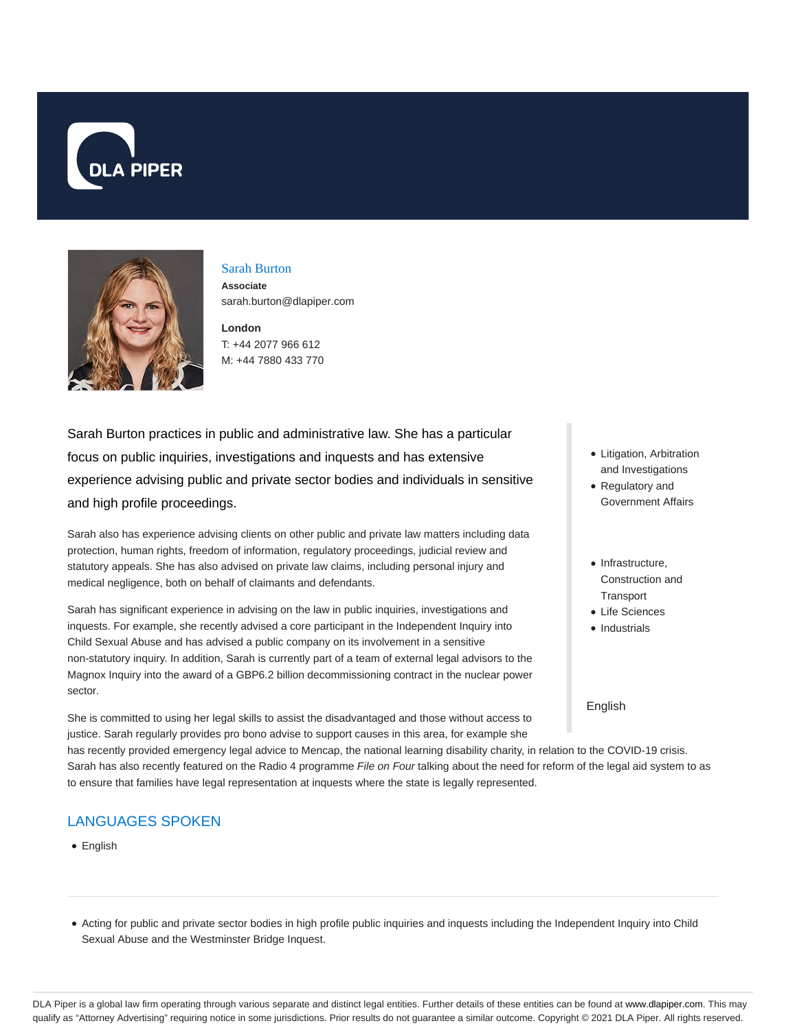



# Sarah Burton **Associate**

sarah.burton@dlapiper.com

**London** T: +44 2077 966 612 M: +44 7880 433 770

Sarah Burton practices in public and administrative law. She has a particular focus on public inquiries, investigations and inquests and has extensive experience advising public and private sector bodies and individuals in sensitive and high profile proceedings.

Sarah also has experience advising clients on other public and private law matters including data protection, human rights, freedom of information, regulatory proceedings, judicial review and statutory appeals. She has also advised on private law claims, including personal injury and medical negligence, both on behalf of claimants and defendants.

Sarah has significant experience in advising on the law in public inquiries, investigations and inquests. For example, she recently advised a core participant in the Independent Inquiry into Child Sexual Abuse and has advised a public company on its involvement in a sensitive non-statutory inquiry. In addition, Sarah is currently part of a team of external legal advisors to the Magnox Inquiry into the award of a GBP6.2 billion decommissioning contract in the nuclear power sector.

She is committed to using her legal skills to assist the disadvantaged and those without access to justice. Sarah regularly provides pro bono advise to support causes in this area, for example she

- Litigation, Arbitration and Investigations
- Regulatory and Government Affairs
- Infrastructure. Construction and **Transport**
- Life Sciences
- Industrials

English

has recently provided emergency legal advice to Mencap, the national learning disability charity, in relation to the COVID-19 crisis. Sarah has also recently featured on the Radio 4 programme File on Four talking about the need for reform of the legal aid system to as to ensure that families have legal representation at inquests where the state is legally represented.

# LANGUAGES SPOKEN

• English

Acting for public and private sector bodies in high profile public inquiries and inquests including the Independent Inquiry into Child Sexual Abuse and the Westminster Bridge Inquest.

DLA Piper is a global law firm operating through various separate and distinct legal entities. Further details of these entities can be found at www.dlapiper.com. This may qualify as "Attorney Advertising" requiring notice in some jurisdictions. Prior results do not guarantee a similar outcome. Copyright @ 2021 DLA Piper. All rights reserved.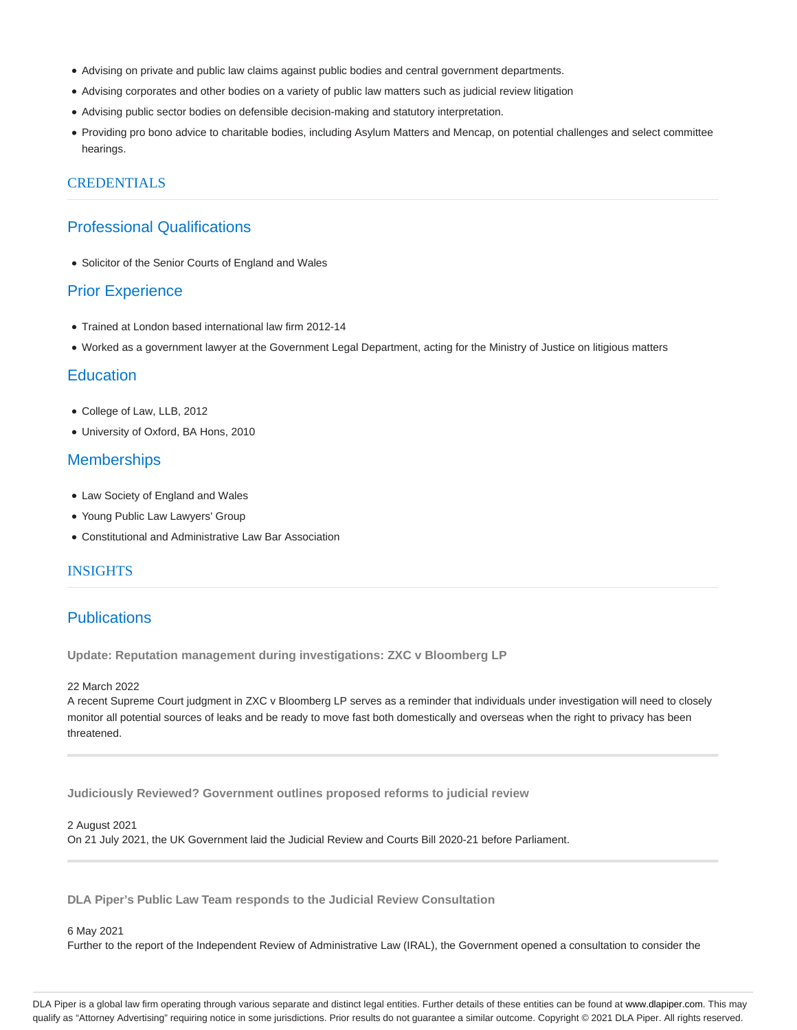- Advising on private and public law claims against public bodies and central government departments.
- Advising corporates and other bodies on a variety of public law matters such as judicial review litigation
- Advising public sector bodies on defensible decision-making and statutory interpretation.
- Providing pro bono advice to charitable bodies, including Asylum Matters and Mencap, on potential challenges and select committee hearings.

### CREDENTIALS

## Professional Qualifications

Solicitor of the Senior Courts of England and Wales

### Prior Experience

- Trained at London based international law firm 2012-14
- Worked as a government lawyer at the Government Legal Department, acting for the Ministry of Justice on litigious matters

## **Education**

- College of Law, LLB, 2012
- University of Oxford, BA Hons, 2010

### **Memberships**

- Law Society of England and Wales
- Young Public Law Lawyers' Group
- Constitutional and Administrative Law Bar Association

## INSIGHTS

## **Publications**

**Update: Reputation management during investigations: ZXC v Bloomberg LP**

#### 22 March 2022

A recent Supreme Court judgment in ZXC v Bloomberg LP serves as a reminder that individuals under investigation will need to closely monitor all potential sources of leaks and be ready to move fast both domestically and overseas when the right to privacy has been threatened.

**Judiciously Reviewed? Government outlines proposed reforms to judicial review**

#### 2 August 2021

On 21 July 2021, the UK Government laid the Judicial Review and Courts Bill 2020-21 before Parliament.

**DLA Piper's Public Law Team responds to the Judicial Review Consultation**

#### 6 May 2021

Further to the report of the Independent Review of Administrative Law (IRAL), the Government opened a consultation to consider the

DLA Piper is a global law firm operating through various separate and distinct legal entities. Further details of these entities can be found at www.dlapiper.com. This may qualify as "Attorney Advertising" requiring notice in some jurisdictions. Prior results do not guarantee a similar outcome. Copyright © 2021 DLA Piper. All rights reserved.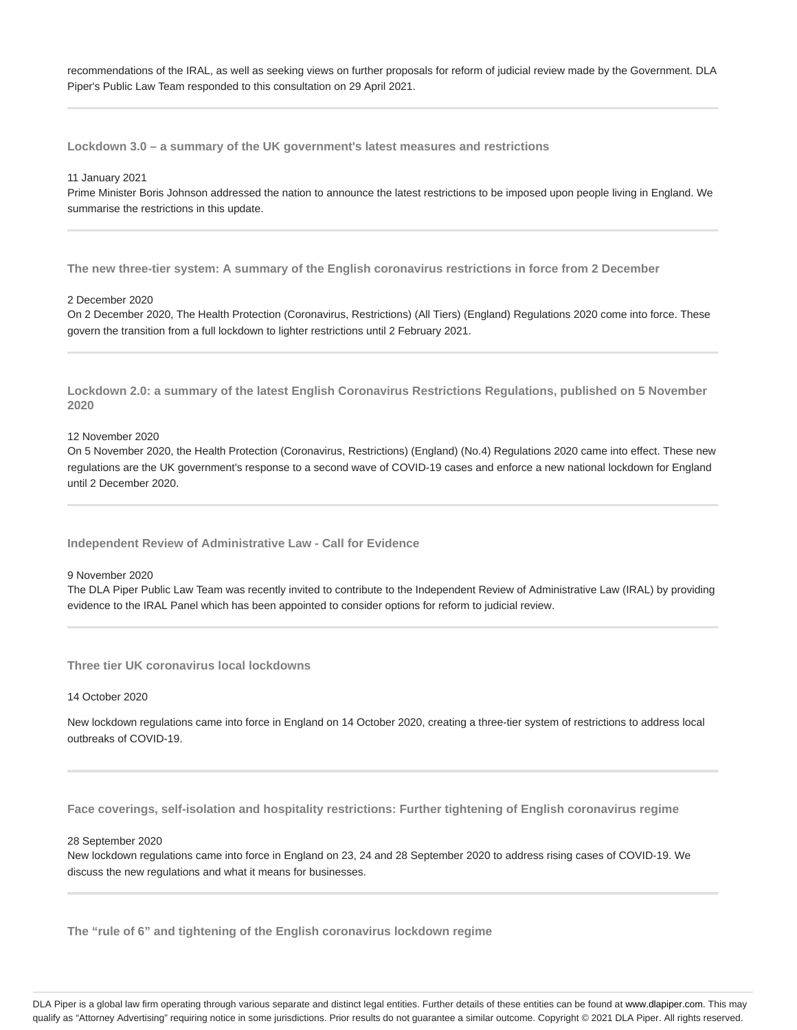recommendations of the IRAL, as well as seeking views on further proposals for reform of judicial review made by the Government. DLA Piper's Public Law Team responded to this consultation on 29 April 2021.

**Lockdown 3.0 – a summary of the UK government's latest measures and restrictions**

#### 11 January 2021

Prime Minister Boris Johnson addressed the nation to announce the latest restrictions to be imposed upon people living in England. We summarise the restrictions in this update.

**The new three-tier system: A summary of the English coronavirus restrictions in force from 2 December**

#### 2 December 2020

On 2 December 2020, The Health Protection (Coronavirus, Restrictions) (All Tiers) (England) Regulations 2020 come into force. These govern the transition from a full lockdown to lighter restrictions until 2 February 2021.

**Lockdown 2.0: a summary of the latest English Coronavirus Restrictions Regulations, published on 5 November 2020**

12 November 2020

On 5 November 2020, the Health Protection (Coronavirus, Restrictions) (England) (No.4) Regulations 2020 came into effect. These new regulations are the UK government's response to a second wave of COVID-19 cases and enforce a new national lockdown for England until 2 December 2020.

**Independent Review of Administrative Law - Call for Evidence**

#### 9 November 2020

The DLA Piper Public Law Team was recently invited to contribute to the Independent Review of Administrative Law (IRAL) by providing evidence to the IRAL Panel which has been appointed to consider options for reform to judicial review.

**Three tier UK coronavirus local lockdowns**

#### 14 October 2020

New lockdown regulations came into force in England on 14 October 2020, creating a three-tier system of restrictions to address local outbreaks of COVID-19.

**Face coverings, self-isolation and hospitality restrictions: Further tightening of English coronavirus regime**

#### 28 September 2020

New lockdown regulations came into force in England on 23, 24 and 28 September 2020 to address rising cases of COVID-19. We discuss the new regulations and what it means for businesses.

**The "rule of 6" and tightening of the English coronavirus lockdown regime**

DLA Piper is a global law firm operating through various separate and distinct legal entities. Further details of these entities can be found at www.dlapiper.com. This may qualify as "Attorney Advertising" requiring notice in some jurisdictions. Prior results do not guarantee a similar outcome. Copyright @ 2021 DLA Piper. All rights reserved.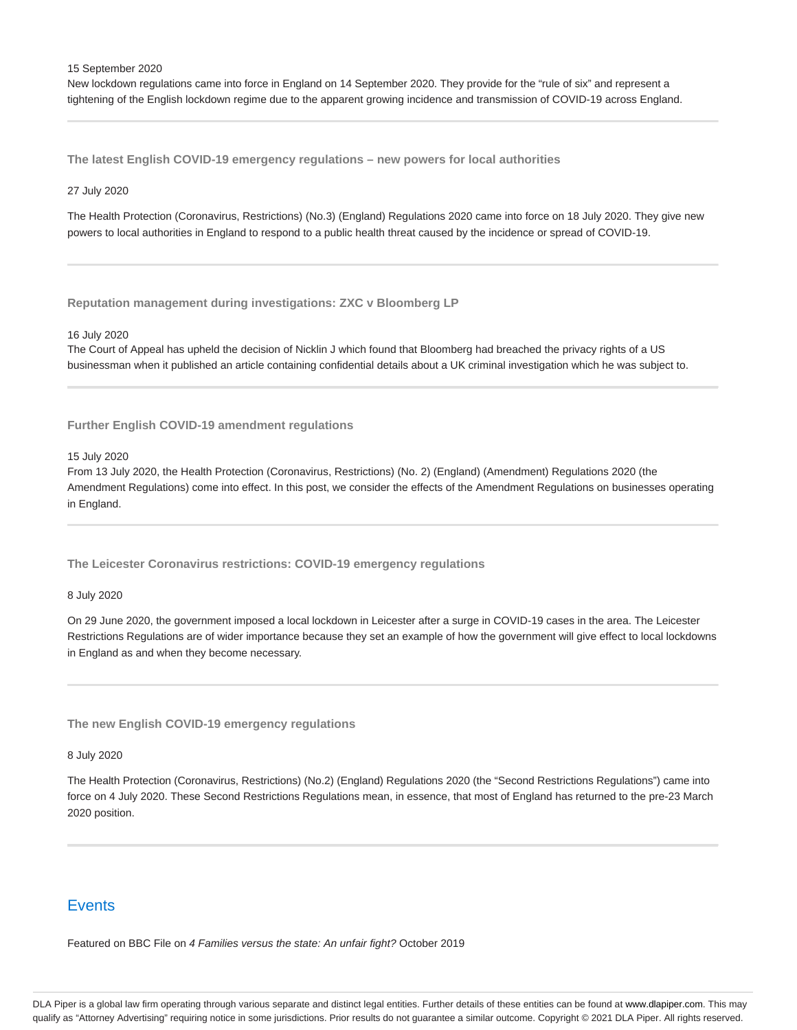15 September 2020

New lockdown regulations came into force in England on 14 September 2020. They provide for the "rule of six" and represent a tightening of the English lockdown regime due to the apparent growing incidence and transmission of COVID-19 across England.

**The latest English COVID-19 emergency regulations – new powers for local authorities**

#### 27 July 2020

The Health Protection (Coronavirus, Restrictions) (No.3) (England) Regulations 2020 came into force on 18 July 2020. They give new powers to local authorities in England to respond to a public health threat caused by the incidence or spread of COVID-19.

#### **Reputation management during investigations: ZXC v Bloomberg LP**

#### 16 July 2020

The Court of Appeal has upheld the decision of Nicklin J which found that Bloomberg had breached the privacy rights of a US businessman when it published an article containing confidential details about a UK criminal investigation which he was subject to.

#### **Further English COVID-19 amendment regulations**

15 July 2020

From 13 July 2020, the Health Protection (Coronavirus, Restrictions) (No. 2) (England) (Amendment) Regulations 2020 (the Amendment Regulations) come into effect. In this post, we consider the effects of the Amendment Regulations on businesses operating in England.

**The Leicester Coronavirus restrictions: COVID-19 emergency regulations**

#### 8 July 2020

On 29 June 2020, the government imposed a local lockdown in Leicester after a surge in COVID-19 cases in the area. The Leicester Restrictions Regulations are of wider importance because they set an example of how the government will give effect to local lockdowns in England as and when they become necessary.

**The new English COVID-19 emergency regulations**

8 July 2020

The Health Protection (Coronavirus, Restrictions) (No.2) (England) Regulations 2020 (the "Second Restrictions Regulations") came into force on 4 July 2020. These Second Restrictions Regulations mean, in essence, that most of England has returned to the pre-23 March 2020 position.

## **Events**

Featured on BBC File on 4 Families versus the state: An unfair fight? October 2019

DLA Piper is a global law firm operating through various separate and distinct legal entities. Further details of these entities can be found at www.dlapiper.com. This may qualify as "Attorney Advertising" requiring notice in some jurisdictions. Prior results do not guarantee a similar outcome. Copyright @ 2021 DLA Piper. All rights reserved.